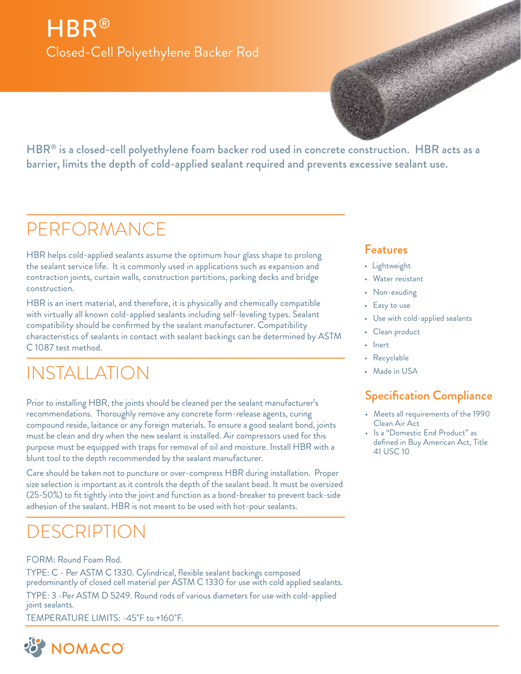## HBR® Closed-Cell Polyethylene Backer Rod

HBR<sup>®</sup> is a closed-cell polyethylene foam backer rod used in concrete construction. HBR acts as a barrier, limits the depth of cold-applied sealant required and prevents excessive sealant use.

## PERFORMANCE

HBR helps cold-applied sealants assume the optimum hour glass shape to prolong the sealant service life. It is commonly used in applications such as expansion and contraction joints, curtain walls, construction partitions, parking decks and bridge construction.

HBR is an inert material, and therefore, it is physically and chemically compatible with virtually all known cold-applied sealants including self-leveling types. Sealant compatibility should be confirmed by the sealant manufacturer. Compatibility characteristics of sealants in contact with sealant backings can be determined by ASTM C 1087 test method.

## INSTALLATION

Prior to installing HBR, the joints should be cleaned per the sealant manufacturer's recommendations. Thoroughly remove any concrete form-release agents, curing compound reside, laitance or any foreign materials. To ensure a good sealant bond, joints must be clean and dry when the new sealant is installed. Air compressors used for this purpose must be equipped with traps for removal of oil and moisture. Install HBR with a blunt tool to the depth recommended by the sealant manufacturer.

Care should be taken not to puncture or over-compress HBR during installation. Proper size selection is important as it controls the depth of the sealant bead. It must be oversized (25-50%) to fit tightly into the joint and function as a bond-breaker to prevent back-side adhesion of the sealant. HBR is not meant to be used with hot-pour sealants.

## DESCRIPTION

#### FORM: Round Foam Rod.

TYPE: C - Per ASTM C 1330. Cylindrical, flexible sealant backings composed predominantly of closed cell material per ASTM C 1330 for use with cold applied sealants.

TYPE: 3 -Per ASTM D 5249. Round rods of various diameters for use with cold-applied joint sealants.

TEMPERATURE LIMITS: -45˚F to +160˚F.



#### Features

- Lightweight
- Water resistant
- Non-exuding
- Easy to use
- Use with cold-applied sealants
- Clean product
- Inert
- Recyclable
- Made in USA

### Specification Compliance

- Meets all requirements of the 1990 Clean Air Act
- Is a "Domestic End Product" as defined in Buy American Act, Title 41 USC 10